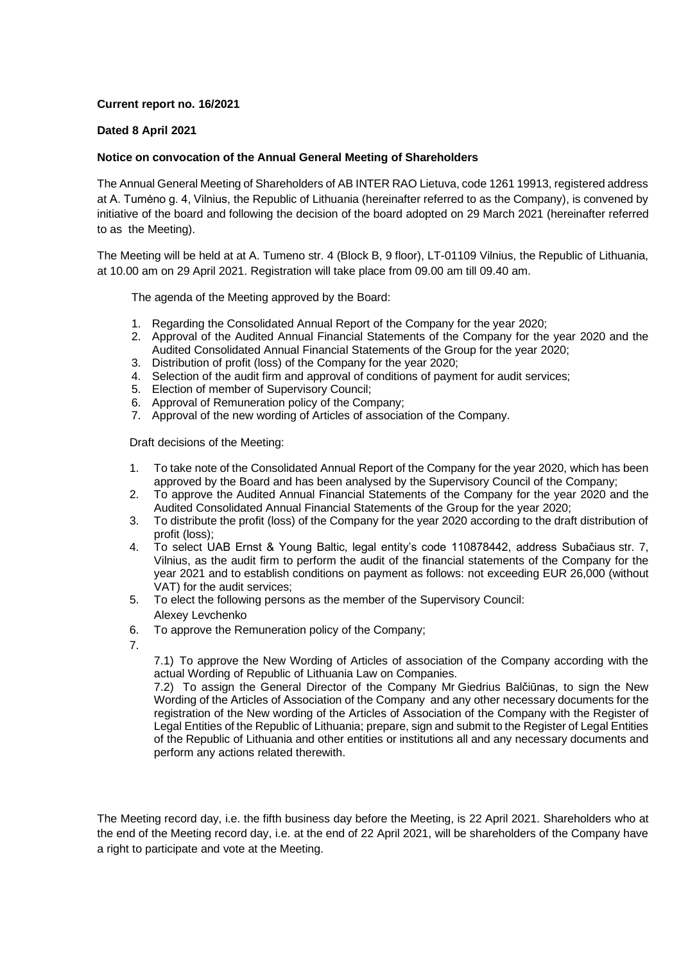## **Current report no. 16/2021**

## **Dated 8 April 2021**

## **Notice on convocation of the Annual General Meeting of Shareholders**

The Annual General Meeting of Shareholders of AB INTER RAO Lietuva, code 1261 19913, registered address at A. Tumėno g. 4, Vilnius, the Republic of Lithuania (hereinafter referred to as the Company), is convened by initiative of the board and following the decision of the board adopted on 29 March 2021 (hereinafter referred to as the Meeting).

The Meeting will be held at at A. Tumeno str. 4 (Block B, 9 floor), LT-01109 Vilnius, the Republic of Lithuania, at 10.00 am on 29 April 2021. Registration will take place from 09.00 am till 09.40 am.

The agenda of the Meeting approved by the Board:

- 1. Regarding the Consolidated Annual Report of the Company for the year 2020;
- 2. Approval of the Audited Annual Financial Statements of the Company for the year 2020 and the Audited Consolidated Annual Financial Statements of the Group for the year 2020;
- 3. Distribution of profit (loss) of the Company for the year 2020;
- 4. Selection of the audit firm and approval of conditions of payment for audit services;
- 5. Election of member of Supervisory Council;
- 6. Approval of Remuneration policy of the Company;
- 7. Approval of the new wording of Articles of association of the Company.

Draft decisions of the Meeting:

- 1. To take note of the Consolidated Annual Report of the Company for the year 2020, which has been approved by the Board and has been analysed by the Supervisory Council of the Company;
- 2. To approve the Audited Annual Financial Statements of the Company for the year 2020 and the Audited Consolidated Annual Financial Statements of the Group for the year 2020;
- 3. To distribute the profit (loss) of the Company for the year 2020 according to the draft distribution of profit (loss);
- 4. To select UAB Ernst & Young Baltic, legal entity's code 110878442, address Subačiaus str. 7, Vilnius, as the audit firm to perform the audit of the financial statements of the Company for the year 2021 and to establish conditions on payment as follows: not exceeding EUR 26,000 (without VAT) for the audit services;
- 5. To elect the following persons as the member of the Supervisory Council:
- Alexey Levchenko
- 6. To approve the Remuneration policy of the Company;
- 7.

7.1) To approve the New Wording of Articles of association of the Company according with the actual Wording of Republic of Lithuania Law on Companies.

7.2) To assign the General Director of the Company Mr Giedrius Balčiūnas, to sign the New Wording of the Аrticles of Аssociation of the Company and any other necessary documents for the registration of the New wording of the Аrticles of Аssociation of the Company with the Register of Legal Entities of the Republic of Lithuania; prepare, sign and submit to the Register of Legal Entities of the Republic of Lithuania and other entities or institutions all and any necessary documents and perform any actions related therewith.

The Meeting record day, i.e. the fifth business day before the Meeting, is 22 April 2021. Shareholders who at the end of the Meeting record day, i.e. at the end of 22 April 2021, will be shareholders of the Company have a right to participate and vote at the Meeting.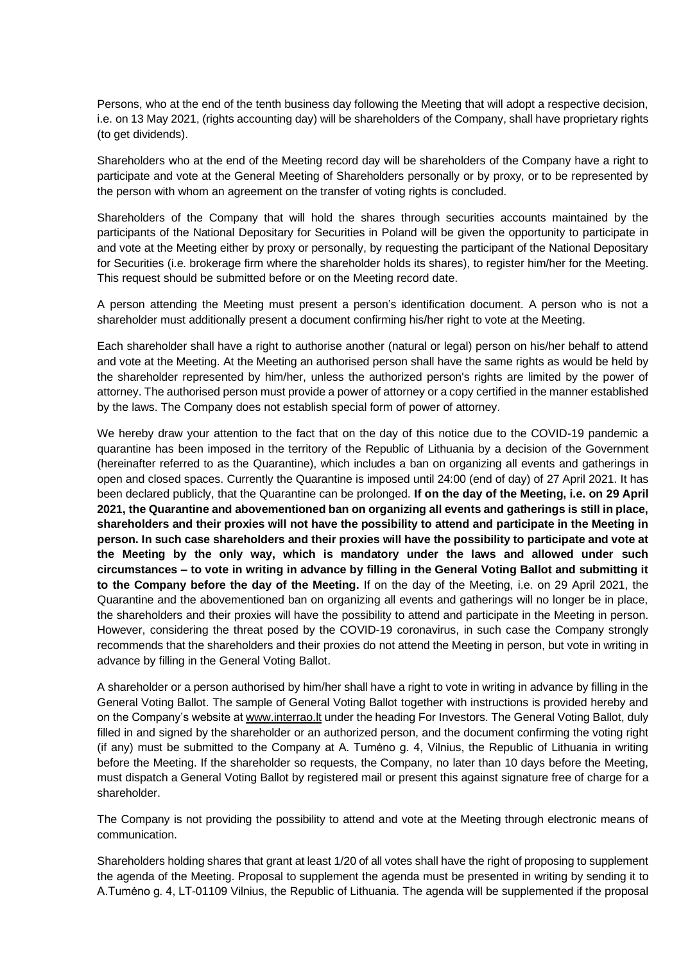Persons, who at the end of the tenth business day following the Meeting that will adopt a respective decision, i.e. on 13 May 2021, (rights accounting day) will be shareholders of the Company, shall have proprietary rights (to get dividends).

Shareholders who at the end of the Meeting record day will be shareholders of the Company have a right to participate and vote at the General Meeting of Shareholders personally or by proxy, or to be represented by the person with whom an agreement on the transfer of voting rights is concluded.

Shareholders of the Company that will hold the shares through securities accounts maintained by the participants of the National Depositary for Securities in Poland will be given the opportunity to participate in and vote at the Meeting either by proxy or personally, by requesting the participant of the National Depositary for Securities (i.e. brokerage firm where the shareholder holds its shares), to register him/her for the Meeting. This request should be submitted before or on the Meeting record date.

A person attending the Meeting must present a person's identification document. A person who is not a shareholder must additionally present a document confirming his/her right to vote at the Meeting.

Each shareholder shall have a right to authorise another (natural or legal) person on his/her behalf to attend and vote at the Meeting. At the Meeting an authorised person shall have the same rights as would be held by the shareholder represented by him/her, unless the authorized person's rights are limited by the power of attorney. The authorised person must provide a power of attorney or a copy certified in the manner established by the laws. The Company does not establish special form of power of attorney.

We hereby draw your attention to the fact that on the day of this notice due to the COVID-19 pandemic a quarantine has been imposed in the territory of the Republic of Lithuania by a decision of the Government (hereinafter referred to as the Quarantine), which includes a ban on organizing all events and gatherings in open and closed spaces. Currently the Quarantine is imposed until 24:00 (end of day) of 27 April 2021. It has been declared publicly, that the Quarantine can be prolonged. **If on the day of the Meeting, i.e. on 29 April 2021, the Quarantine and abovementioned ban on organizing all events and gatherings is still in place, shareholders and their proxies will not have the possibility to attend and participate in the Meeting in person. In such case shareholders and their proxies will have the possibility to participate and vote at the Meeting by the only way, which is mandatory under the laws and allowed under such circumstances – to vote in writing in advance by filling in the General Voting Ballot and submitting it to the Company before the day of the Meeting.** If on the day of the Meeting, i.e. on 29 April 2021, the Quarantine and the abovementioned ban on organizing all events and gatherings will no longer be in place, the shareholders and their proxies will have the possibility to attend and participate in the Meeting in person. However, considering the threat posed by the COVID-19 coronavirus, in such case the Company strongly recommends that the shareholders and their proxies do not attend the Meeting in person, but vote in writing in advance by filling in the General Voting Ballot.

A shareholder or a person authorised by him/her shall have a right to vote in writing in advance by filling in the General Voting Ballot. The sample of General Voting Ballot together with instructions is provided hereby and on the Company's website at [www.interrao.lt](http://www.interrao.lt/) under the heading For Investors. The General Voting Ballot, duly filled in and signed by the shareholder or an authorized person, and the document confirming the voting right (if any) must be submitted to the Company at A. Tumėno g. 4, Vilnius, the Republic of Lithuania in writing before the Meeting. If the shareholder so requests, the Company, no later than 10 days before the Meeting, must dispatch a General Voting Ballot by registered mail or present this against signature free of charge for a shareholder.

The Company is not providing the possibility to attend and vote at the Meeting through electronic means of communication.

Shareholders holding shares that grant at least 1/20 of all votes shall have the right of proposing to supplement the agenda of the Meeting. Proposal to supplement the agenda must be presented in writing by sending it to A.Tumėno g. 4, LT-01109 Vilnius, the Republic of Lithuania. The agenda will be supplemented if the proposal